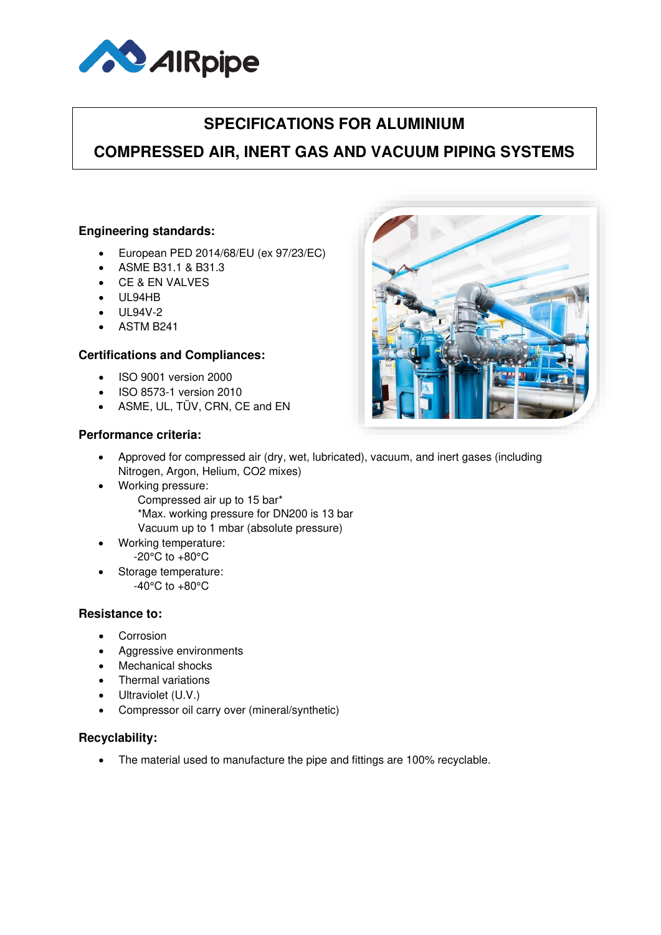

# **SPECIFICATIONS FOR ALUMINIUM**

## **COMPRESSED AIR, INERT GAS AND VACUUM PIPING SYSTEMS**

#### **Engineering standards:**

- European PED 2014/68/EU (ex 97/23/EC)
- ASME B31.1 & B31.3
- CE & EN VALVES
- UL94HB
- UL94V-2
- ASTM B241

#### **Certifications and Compliances:**

- ISO 9001 version 2000
- ISO 8573-1 version 2010
- ASME, UL, TÜV, CRN, CE and EN

### **Performance criteria:**

- Approved for compressed air (dry, wet, lubricated), vacuum, and inert gases (including Nitrogen, Argon, Helium, CO2 mixes)
	- Working pressure: Compressed air up to 15 bar\* \*Max. working pressure for DN200 is 13 bar Vacuum up to 1 mbar (absolute pressure)
- Working temperature: -20°C to +80°C
- Storage temperature: -40°C to +80°C

#### **Resistance to:**

- Corrosion
- Aggressive environments
- Mechanical shocks
- Thermal variations
- Ultraviolet (U.V.)
- Compressor oil carry over (mineral/synthetic)

#### **Recyclability:**

• The material used to manufacture the pipe and fittings are 100% recyclable.